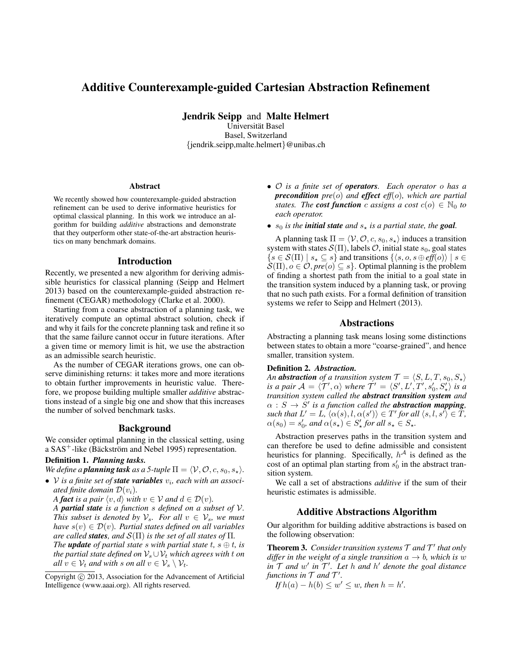# Additive Counterexample-guided Cartesian Abstraction Refinement

Jendrik Seipp and Malte Helmert

Universitat Basel ¨ Basel, Switzerland {jendrik.seipp,malte.helmert}@unibas.ch

#### Abstract

We recently showed how counterexample-guided abstraction refinement can be used to derive informative heuristics for optimal classical planning. In this work we introduce an algorithm for building *additive* abstractions and demonstrate that they outperform other state-of-the-art abstraction heuristics on many benchmark domains.

### Introduction

Recently, we presented a new algorithm for deriving admissible heuristics for classical planning (Seipp and Helmert 2013) based on the counterexample-guided abstraction refinement (CEGAR) methodology (Clarke et al. 2000).

Starting from a coarse abstraction of a planning task, we iteratively compute an optimal abstract solution, check if and why it fails for the concrete planning task and refine it so that the same failure cannot occur in future iterations. After a given time or memory limit is hit, we use the abstraction as an admissible search heuristic.

As the number of CEGAR iterations grows, one can observe diminishing returns: it takes more and more iterations to obtain further improvements in heuristic value. Therefore, we propose building multiple smaller *additive* abstractions instead of a single big one and show that this increases the number of solved benchmark tasks.

### Background

We consider optimal planning in the classical setting, using a  $SAS^+$ -like (Bäckström and Nebel 1995) representation.

# Definition 1. *Planning tasks.*

*We define a planning task as a 5-tuple*  $\Pi = \langle V, \mathcal{O}, c, s_0, s_* \rangle$ *.* 

- *V* is a finite set of **state variables**  $v_i$ , each with an associ*ated finite domain*  $\mathcal{D}(v_i)$ *.* 
	- *A fact is a pair*  $\langle v, d \rangle$  *with*  $v \in V$  *and*  $d \in \mathcal{D}(v)$ *.*

*A partial state is a function* s *defined on a subset of* V*. This subset is denoted by*  $V_s$ *. For all*  $v \in V_s$ *, we must have*  $s(v) \in \mathcal{D}(v)$ *. Partial states defined on all variables are called states, and*  $\mathcal{S}(\Pi)$  *is the set of all states of*  $\Pi$ *.* 

*The update of partial state* s with partial state  $t, s \oplus t$ , is *the partial state defined on*  $V_s \cup V_t$  *which agrees with* t *on all*  $v \in V_t$  *and with s on all*  $v \in V_s \setminus V_t$ .

- O *is a finite set of operators. Each operator* o *has a precondition pre*(o) *and effect eff*(o)*, which are partial states. The cost function* c *assigns* a cost  $c(o) \in \mathbb{N}_0$  to *each operator.*
- $s_0$  *is the initial state and*  $s_{\star}$  *is a partial state, the goal.*

A planning task  $\Pi = \langle V, O, c, s_0, s_* \rangle$  induces a transition system with states  $S(\Pi)$ , labels  $\mathcal{O}$ , initial state  $s_0$ , goal states  $\{s \in \mathcal{S}(\Pi) \mid s_{\star} \subseteq s\}$  and transitions  $\{\langle s, o, s \oplus \textit{eff}(o) \rangle \mid s \in \mathcal{S}(\Pi)\}$  $\mathcal{S}(\Pi), o \in \mathcal{O}, pre(o) \subseteq s$ . Optimal planning is the problem of finding a shortest path from the initial to a goal state in the transition system induced by a planning task, or proving that no such path exists. For a formal definition of transition systems we refer to Seipp and Helmert (2013).

### Abstractions

Abstracting a planning task means losing some distinctions between states to obtain a more "coarse-grained", and hence smaller, transition system.

#### Definition 2. *Abstraction.*

*An* **abstraction** of a transition system  $\mathcal{T} = \langle S, L, T, s_0, S_{\star} \rangle$ is a pair  $\mathcal{A} = \langle \mathcal{T}', \alpha \rangle$  where  $\mathcal{T}' = \langle S', L', T', s'_0, S'_\star \rangle$  is a *transition system called the abstract transition system and*  $\alpha$  :  $S \to S'$  is a function called the **abstraction mapping**,  $\mathit{such that}\ L'=L,\ \langle \alpha(s),l,\alpha(s')\rangle\in T'\ \mathit{for all}\ \langle s,l,s'\rangle\in T,$  $\alpha(s_0) = s'_0$ , and  $\alpha(s_\star) \in S'_\star$  for all  $s_\star \in S_\star$ .

Abstraction preserves paths in the transition system and can therefore be used to define admissible and consistent heuristics for planning. Specifically,  $h^{\mathcal{A}}$  is defined as the cost of an optimal plan starting from  $s'_0$  in the abstract transition system.

We call a set of abstractions *additive* if the sum of their heuristic estimates is admissible.

### Additive Abstractions Algorithm

Our algorithm for building additive abstractions is based on the following observation:

**Theorem 3.** Consider transition systems  $\mathcal T$  and  $\mathcal T'$  that only *differ in the weight of a single transition*  $a \rightarrow b$ *, which is* w  $\int \sin \mathcal{T}$  *and*  $w'$  *in*  $\mathcal{T}'$ *. Let h and h' denote the goal distance* functions in  $T$  and  $T'$ .

*If*  $h(a) - h(b) \leq w' \leq w$ , then  $h = h'$ .

Copyright (c) 2013, Association for the Advancement of Artificial Intelligence (www.aaai.org). All rights reserved.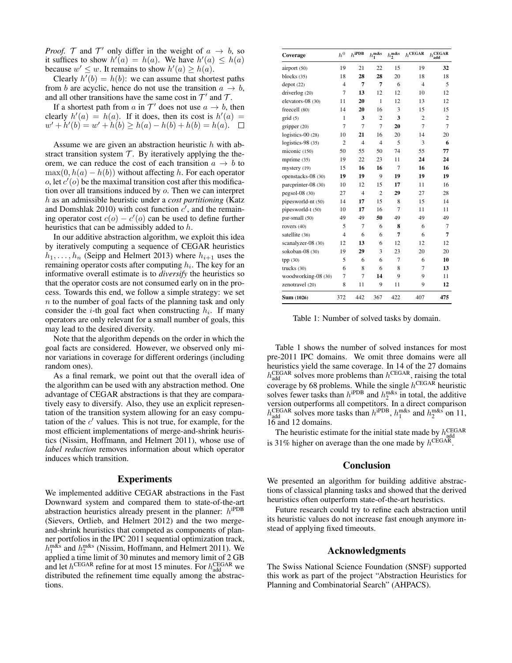*Proof.*  $\mathcal{T}$  and  $\mathcal{T}'$  only differ in the weight of  $a \rightarrow b$ , so it suffices to show  $h'(a) = h(a)$ . We have  $h'(a) \leq h(a)$ because  $w' \leq w$ . It remains to show  $h'(a) \geq h(a)$ .

Clearly  $h'(b) = h(b)$ : we can assume that shortest paths from b are acyclic, hence do not use the transition  $a \rightarrow b$ , and all other transitions have the same cost in  $\mathcal{T}'$  and  $\mathcal{T}$ .

If a shortest path from a in  $\mathcal{T}'$  does not use  $a \to b$ , then clearly  $h'(a) = h(a)$ . If it does, then its cost is  $h'(a) =$  $w' + h'(b) = w' + h(b) \geq h(a) - h(b) + h(b) = h(a).$ 

Assume we are given an abstraction heuristic h with abstract transition system  $T$ . By iteratively applying the theorem, we can reduce the cost of each transition  $a \rightarrow b$  to  $\max(0, h(a) - h(b))$  without affecting h. For each operator o, let  $c'(o)$  be the maximal transition cost after this modification over all transitions induced by o. Then we can interpret h as an admissible heuristic under a *cost partitioning* (Katz and Domshlak 2010) with cost function  $c'$ , and the remaining operator cost  $c(o) - c'(o)$  can be used to define further heuristics that can be admissibly added to h.

In our additive abstraction algorithm, we exploit this idea by iteratively computing a sequence of CEGAR heuristics  $h_1, \ldots, h_n$  (Seipp and Helmert 2013) where  $h_{i+1}$  uses the remaining operator costs after computing  $h_i$ . The key for an informative overall estimate is to *diversify* the heuristics so that the operator costs are not consumed early on in the process. Towards this end, we follow a simple strategy: we set n to the number of goal facts of the planning task and only consider the *i*-th goal fact when constructing  $h_i$ . If many operators are only relevant for a small number of goals, this may lead to the desired diversity.

Note that the algorithm depends on the order in which the goal facts are considered. However, we observed only minor variations in coverage for different orderings (including random ones).

As a final remark, we point out that the overall idea of the algorithm can be used with any abstraction method. One advantage of CEGAR abstractions is that they are comparatively easy to diversify. Also, they use an explicit representation of the transition system allowing for an easy computation of the  $c'$  values. This is not true, for example, for the most efficient implementations of merge-and-shrink heuristics (Nissim, Hoffmann, and Helmert 2011), whose use of *label reduction* removes information about which operator induces which transition.

### Experiments

We implemented additive CEGAR abstractions in the Fast Downward system and compared them to state-of-the-art abstraction heuristics already present in the planner:  $h^{iPDB}$ (Sievers, Ortlieb, and Helmert 2012) and the two mergeand-shrink heuristics that competed as components of planner portfolios in the IPC 2011 sequential optimization track,  $h_1^{\text{m\&s}}$  and  $h_2^{\text{m\&s}}$  (Nissim, Hoffmann, and Helmert 2011). We applied a time limit of 30 minutes and memory limit of 2 GB and let  $h^{\text{CEGAR}}$  refine for at most 15 minutes. For  $h_{\text{add}}^{\text{CEGAR}}$  we distributed the refinement time equally among the abstractions.

| Coverage            | $\boldsymbol{h}^0$ | $h^{\text{iPDB}}$ | $h_1^{\text{m\&s}}$ | $h_2^{\text{m\&s}}$ | $h^{\mathrm{CEGAR}}$ | $h^{\rm CEGAR}_{\rm add}$ |
|---------------------|--------------------|-------------------|---------------------|---------------------|----------------------|---------------------------|
| airport (50)        | 19                 | 21                | 22                  | 15                  | 19                   | 32                        |
| blocks (35)         | 18                 | 28                | 28                  | 20                  | 18                   | 18                        |
| depot(22)           | $\overline{4}$     | 7                 | 7                   | 6                   | $\overline{4}$       | 5                         |
| driverlog(20)       | $\overline{7}$     | 13                | 12                  | 12                  | 10                   | 12                        |
| elevators-08 (30)   | 11                 | 20                | 1                   | 12                  | 13                   | 12                        |
| freecell (80)       | 14                 | 20                | 16                  | 3                   | 15                   | 15                        |
| grid(5)             | 1                  | 3                 | $\overline{c}$      | 3                   | $\overline{c}$       | $\overline{c}$            |
| gripper (20)        | $\overline{7}$     | $\overline{7}$    | $\overline{7}$      | 20                  | $\overline{7}$       | 7                         |
| logistics- $00(28)$ | 10                 | 21                | 16                  | 20                  | 14                   | 20                        |
| logistics-98 $(35)$ | $\overline{c}$     | $\overline{4}$    | $\overline{4}$      | 5                   | 3                    | 6                         |
| miconic (150)       | 50                 | 55                | 50                  | 74                  | 55                   | 77                        |
| mprime (35)         | 19                 | 22                | 23                  | 11                  | 24                   | 24                        |
| mystery (19)        | 15                 | 16                | 16                  | $\overline{7}$      | 16                   | 16                        |
| openstacks-08 (30)  | 19                 | 19                | 9                   | 19                  | 19                   | 19                        |
| parcprinter-08 (30) | 10                 | 12                | 15                  | 17                  | 11                   | 16                        |
| $pegsol-08(30)$     | 27                 | $\overline{4}$    | $\overline{2}$      | 29                  | 27                   | 28                        |
| pipesworld-nt (50)  | 14                 | 17                | 15                  | 8                   | 15                   | 14                        |
| pipesworld-t (50)   | 10                 | 17                | 16                  | 7                   | 11                   | 11                        |
| psr-small (50)      | 49                 | 49                | 50                  | 49                  | 49                   | 49                        |
| rovers (40)         | 5                  | $\overline{7}$    | 6                   | 8                   | 6                    | 7                         |
| satellite (36)      | $\overline{4}$     | 6                 | 6                   | 7                   | 6                    | 7                         |
| scanalyzer-08 (30)  | 12                 | 13                | 6                   | 12                  | 12                   | 12                        |
| sokoban-08 (30)     | 19                 | 29                | 3                   | 23                  | 20                   | 20                        |
| tpp(30)             | 5                  | 6                 | 6                   | $\overline{7}$      | 6                    | 10                        |
| trucks $(30)$       | 6                  | 8                 | 6                   | 8                   | 7                    | 13                        |
| woodworking-08 (30) | 7                  | $\overline{7}$    | 14                  | 9                   | 9                    | 11                        |
| zenotravel (20)     | 8                  | 11                | 9                   | 11                  | 9                    | 12                        |
| Sum (1026)          | 372                | 442               | 367                 | 422                 | 407                  | 475                       |

Table 1: Number of solved tasks by domain.

Table 1 shows the number of solved instances for most pre-2011 IPC domains. We omit three domains were all heuristics yield the same coverage. In 14 of the 27 domains  $h_{\text{add}}^{\text{CEGAR}}$  solves more problems than  $h^{\text{CEGAR}}$ , raising the total coverage by 68 problems. While the single  $h^{\text{CEGAR}}$  heuristic solves fewer tasks than  $h^{\text{ipDB}}$  and  $h^{\text{m\&s}}_2$  in total, the additive version outperforms all competitors. In a direct comparison  $h_{\text{add}}^{\text{CEGAR}}$  solves more tasks than  $h_{\text{1}}^{\text{iPDB}}$ ,  $h_{\text{1}}^{\text{m&s}}$  and  $h_{\text{2}}^{\text{m&s}}$  on 11, 16 and 12 domains.

The heuristic estimate for the initial state made by  $h_{\text{add}}^{\text{CEGAR}}$ is 31% higher on average than the one made by  $h^{\text{CEGAR}}$ .

# **Conclusion**

We presented an algorithm for building additive abstractions of classical planning tasks and showed that the derived heuristics often outperform state-of-the-art heuristics.

Future research could try to refine each abstraction until its heuristic values do not increase fast enough anymore instead of applying fixed timeouts.

### Acknowledgments

The Swiss National Science Foundation (SNSF) supported this work as part of the project "Abstraction Heuristics for Planning and Combinatorial Search" (AHPACS).